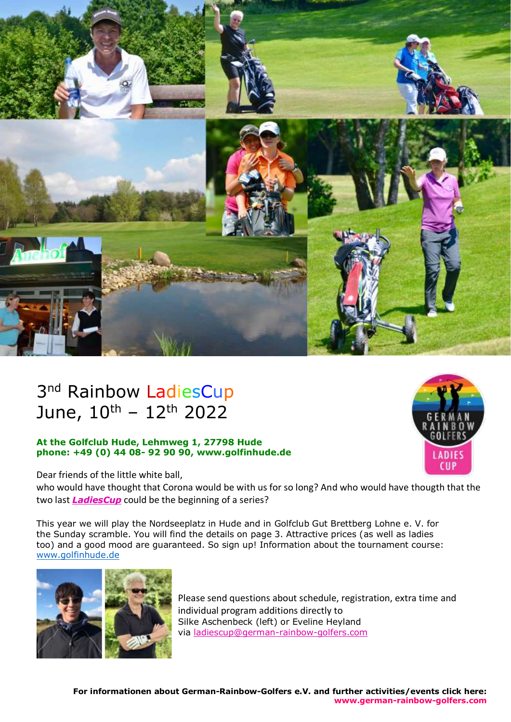

# 3<sup>nd</sup> Rainbow LadiesCup June,  $10^{\text{th}} - 12^{\text{th}}$  2022

## **At the Golfclub Hude, Lehmweg 1, 27798 Hude phone: +49 (0) 44 08- 92 90 90, www.golfinhude.de**

CHI

Dear friends of the little white ball,

who would have thought that Corona would be with us for so long? And who would have thougth that the two last *LadiesCup* could be the beginning of a series?

This year we will play the Nordseeplatz in Hude and in Golfclub Gut Brettberg Lohne e. V. for the Sunday scramble. You will find the details on page 3. Attractive prices (as well as ladies too) and a good mood are guaranteed. So sign up! Information about the tournament course: [www.golfinhude.de](http://www.golfinhude.de/)



Please send questions about schedule, registration, extra time and individual program additions directly to Silke Aschenbeck (left) or Eveline Heyland via [ladiescup@german-rainbow-golfers.com](mailto:ladiescup@german-rainbow-golfers.com)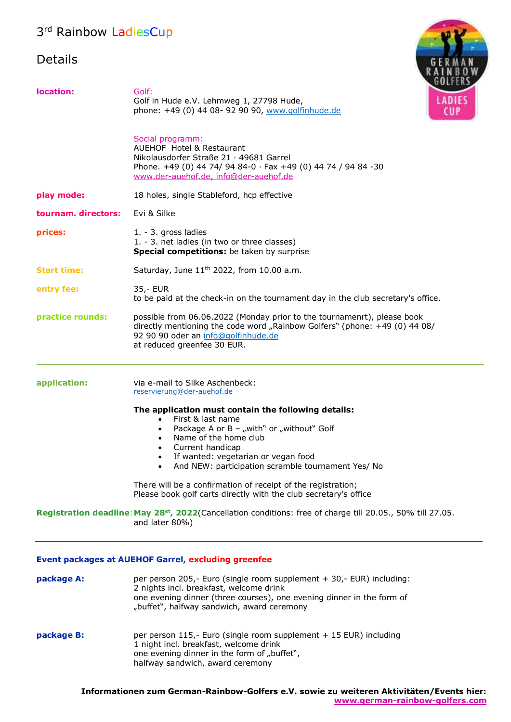# 3<sup>rd</sup> Rainbow LadiesCup

## Details



| location:                                                  | Golf:<br><b>LADIES</b><br>Golf in Hude e.V. Lehmweg 1, 27798 Hude,<br>phone: +49 (0) 44 08- 92 90 90, www.golfinhude.de<br><b>CUP</b>                                                                                                                                                                       |  |
|------------------------------------------------------------|-------------------------------------------------------------------------------------------------------------------------------------------------------------------------------------------------------------------------------------------------------------------------------------------------------------|--|
|                                                            | Social programm:<br><b>AUEHOF Hotel &amp; Restaurant</b><br>Nikolausdorfer Straße 21 · 49681 Garrel<br>Phone. +49 (0) 44 74/ 94 84-0 · Fax +49 (0) 44 74 / 94 84 -30<br>www.der-auehof.de, info@der-auehof.de                                                                                               |  |
| play mode:                                                 | 18 holes, single Stableford, hcp effective                                                                                                                                                                                                                                                                  |  |
| tournam. directors:                                        | Evi & Silke                                                                                                                                                                                                                                                                                                 |  |
| prices:                                                    | 1. - 3. gross ladies<br>1. - 3. net ladies (in two or three classes)<br>Special competitions: be taken by surprise                                                                                                                                                                                          |  |
| <b>Start time:</b>                                         | Saturday, June 11 <sup>th</sup> 2022, from 10.00 a.m.                                                                                                                                                                                                                                                       |  |
| entry fee:                                                 | 35,- EUR<br>to be paid at the check-in on the tournament day in the club secretary's office.                                                                                                                                                                                                                |  |
| practice rounds:                                           | possible from 06.06.2022 (Monday prior to the tournamenrt), please book<br>directly mentioning the code word "Rainbow Golfers" (phone: +49 (0) 44 08/<br>92 90 90 oder an info@golfinhude.de<br>at reduced greenfee 30 EUR.                                                                                 |  |
| application:                                               | via e-mail to Silke Aschenbeck:<br>reservierung@der-auehof.de                                                                                                                                                                                                                                               |  |
|                                                            | The application must contain the following details:<br>First & last name<br>Package A or B - "with" or "without" Golf<br>٠<br>Name of the home club<br>$\bullet$<br>Current handicap<br>$\bullet$<br>If wanted: vegetarian or vegan food<br>$\bullet$<br>And NEW: participation scramble tournament Yes/ No |  |
|                                                            | There will be a confirmation of receipt of the registration;<br>Please book golf carts directly with the club secretary's office                                                                                                                                                                            |  |
|                                                            | Registration deadline: May 28 <sup>st</sup> , 2022(Cancellation conditions: free of charge till 20.05., 50% till 27.05.<br>and later 80%)                                                                                                                                                                   |  |
| <b>Event packages at AUEHOF Garrel, excluding greenfee</b> |                                                                                                                                                                                                                                                                                                             |  |
| package A:                                                 | per person 205,- Euro (single room supplement + 30,- EUR) including:<br>2 nights incl. breakfast, welcome drink<br>one evening dinner (three courses), one evening dinner in the form of<br>"buffet", halfway sandwich, award ceremony                                                                      |  |
| package B:                                                 | per person 115,- Euro (single room supplement + 15 EUR) including<br>1 night incl. breakfast, welcome drink<br>one evening dinner in the form of "buffet",<br>halfway sandwich, award ceremony                                                                                                              |  |